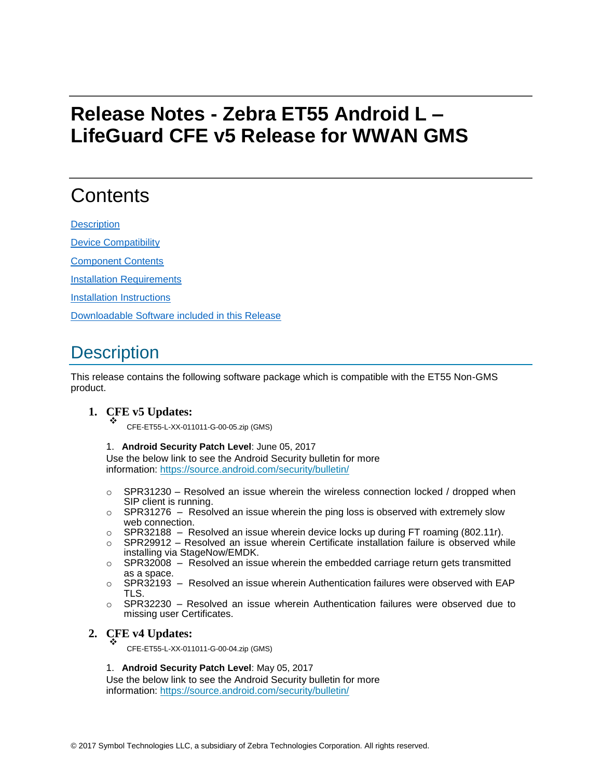# **Release Notes - Zebra ET55 Android L – LifeGuard CFE v5 Release for WWAN GMS**

### **Contents**

**[Description](#page-0-0)** 

[Device Compatibility](#page-2-0)

[Component Contents](#page-2-1)

[Installation Requirements](#page-2-2)

**[Installation Instructions](#page-2-3)** 

[Downloadable Software included in this Release](#page-4-0)

### <span id="page-0-0"></span>**Description**

This release contains the following software package which is compatible with the ET55 Non-GMS product.

**1. CFE v5 Updates:**<br>
CFE-ET55-L-XX-011011-G-00-05.zip (GMS)

#### 1. **Android Security Patch Level**: June 05, 2017

Use the below link to see the Android Security bulletin for more information:<https://source.android.com/security/bulletin/>

- $\circ$  SPR31230 Resolved an issue wherein the wireless connection locked / dropped when SIP client is running.
- $\circ$  SPR31276 Resolved an issue wherein the ping loss is observed with extremely slow web connection.
- $\circ$  SPR32188 Resolved an issue wherein device locks up during FT roaming (802.11r).
- $\circ$  SPR29912 Resolved an issue wherein Certificate installation failure is observed while installing via StageNow/EMDK.
- $\circ$  SPR32008 Resolved an issue wherein the embedded carriage return gets transmitted as a space.
- $\circ$  SPR32193 Resolved an issue wherein Authentication failures were observed with EAP TLS.
- $\circ$  SPR32230 Resolved an issue wherein Authentication failures were observed due to missing user Certificates.

#### **2. CFE v4 Updates:** ❖

CFE-ET55-L-XX-011011-G-00-04.zip (GMS)

#### 1. **Android Security Patch Level**: May 05, 2017

Use the below link to see the Android Security bulletin for more information:<https://source.android.com/security/bulletin/>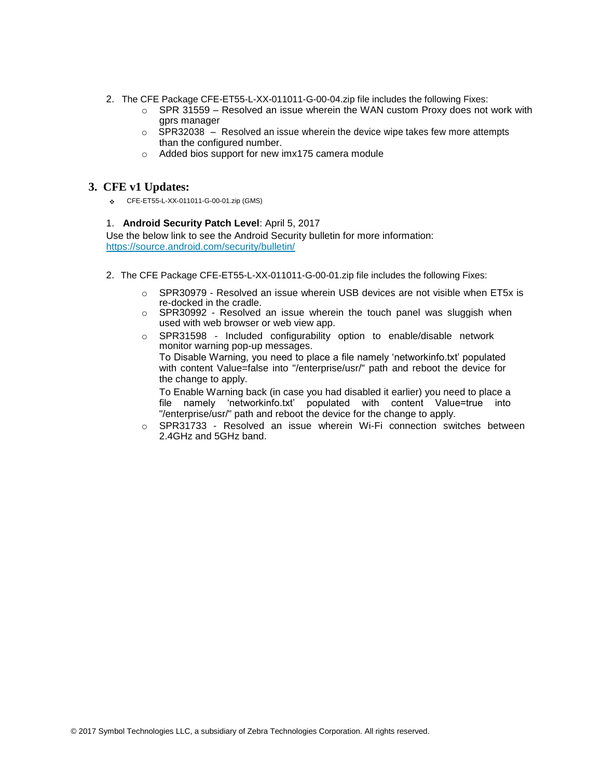- 2. The CFE Package CFE-ET55-L-XX-011011-G-00-04.zip file includes the following Fixes:
	- $\circ$  SPR 31559 Resolved an issue wherein the WAN custom Proxy does not work with gprs manager
	- $\circ$  SPR32038 Resolved an issue wherein the device wipe takes few more attempts than the configured number.
	- o Added bios support for new imx175 camera module

### **3. CFE v1 Updates:**

CFE-ET55-L-XX-011011-G-00-01.zip (GMS)

#### 1. **Android Security Patch Level**: April 5, 2017

Use the below link to see the Android Security bulletin for more information: <https://source.android.com/security/bulletin/>

- 2. The CFE Package CFE-ET55-L-XX-011011-G-00-01.zip file includes the following Fixes:
	- $\circ$  SPR30979 Resolved an issue wherein USB devices are not visible when ET5x is re-docked in the cradle.
	- o SPR30992 Resolved an issue wherein the touch panel was sluggish when used with web browser or web view app.
	- o SPR31598 Included configurability option to enable/disable network monitor warning pop-up messages. To Disable Warning, you need to place a file namely 'networkinfo.txt' populated with content Value=false into "/enterprise/usr/" path and reboot the device for the change to apply.

To Enable Warning back (in case you had disabled it earlier) you need to place a file namely 'networkinfo.txt' populated with content Value=true into "/enterprise/usr/" path and reboot the device for the change to apply.

o SPR31733 - Resolved an issue wherein Wi-Fi connection switches between 2.4GHz and 5GHz band.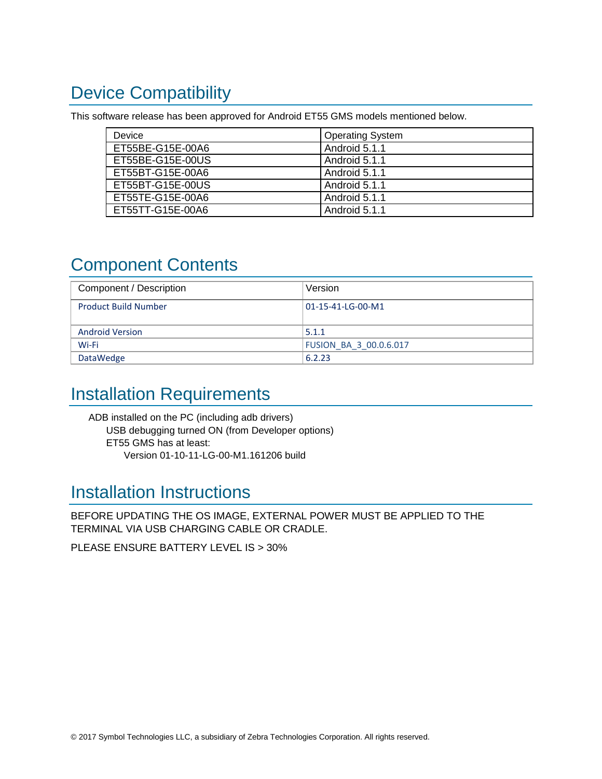# <span id="page-2-0"></span>Device Compatibility

This software release has been approved for Android ET55 GMS models mentioned below.

| Device           | <b>Operating System</b> |
|------------------|-------------------------|
| ET55BE-G15E-00A6 | Android 5.1.1           |
| ET55BE-G15E-00US | Android 5.1.1           |
| ET55BT-G15E-00A6 | Android 5.1.1           |
| ET55BT-G15E-00US | Android 5.1.1           |
| ET55TE-G15E-00A6 | Android 5.1.1           |
| ET55TT-G15E-00A6 | Android 5.1.1           |

# <span id="page-2-1"></span>Component Contents

| Component / Description     | Version                       |
|-----------------------------|-------------------------------|
| <b>Product Build Number</b> | 01-15-41-LG-00-M1             |
|                             |                               |
| <b>Android Version</b>      | 5.1.1                         |
| Wi-Fi                       | <b>FUSION BA 3 00.0.6.017</b> |
| DataWedge                   | 6.2.23                        |

### <span id="page-2-2"></span>Installation Requirements

ADB installed on the PC (including adb drivers) USB debugging turned ON (from Developer options) ET55 GMS has at least: Version 01-10-11-LG-00-M1.161206 build

### <span id="page-2-3"></span>Installation Instructions

BEFORE UPDATING THE OS IMAGE, EXTERNAL POWER MUST BE APPLIED TO THE TERMINAL VIA USB CHARGING CABLE OR CRADLE.

PLEASE ENSURE BATTERY LEVEL IS > 30%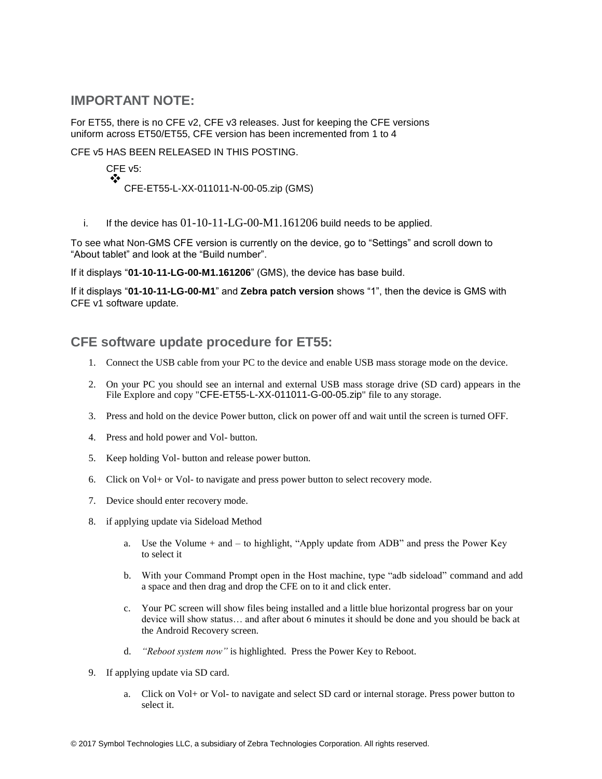### **IMPORTANT NOTE:**

For ET55, there is no CFE v2, CFE v3 releases. Just for keeping the CFE versions uniform across ET50/ET55, CFE version has been incremented from 1 to 4

CFE v5 HAS BEEN RELEASED IN THIS POSTING.

CFE v5: ❖ CFE-ET55-L-XX-011011-N-00-05.zip (GMS)

i. If the device has  $01-10-11-LG-00-M1.161206$  build needs to be applied.

To see what Non-GMS CFE version is currently on the device, go to "Settings" and scroll down to "About tablet" and look at the "Build number".

If it displays "**01-10-11-LG-00-M1.161206**" (GMS), the device has base build.

If it displays "**01-10-11-LG-00-M1**" and **Zebra patch version** shows "1", then the device is GMS with CFE v1 software update.

### **CFE software update procedure for ET55:**

- 1. Connect the USB cable from your PC to the device and enable USB mass storage mode on the device.
- 2. On your PC you should see an internal and external USB mass storage drive (SD card) appears in the File Explore and copy "CFE-ET55-L-XX-011011-G-00-05.zip" file to any storage.
- 3. Press and hold on the device Power button, click on power off and wait until the screen is turned OFF.
- 4. Press and hold power and Vol- button.
- 5. Keep holding Vol- button and release power button.
- 6. Click on Vol+ or Vol- to navigate and press power button to select recovery mode.
- 7. Device should enter recovery mode.
- 8. if applying update via Sideload Method
	- a. Use the Volume + and to highlight, "Apply update from ADB" and press the Power Key to select it
	- b. With your Command Prompt open in the Host machine, type "adb sideload" command and add a space and then drag and drop the CFE on to it and click enter.
	- c. Your PC screen will show files being installed and a little blue horizontal progress bar on your device will show status… and after about 6 minutes it should be done and you should be back at the Android Recovery screen.
	- d. *"Reboot system now"* is highlighted. Press the Power Key to Reboot.
- 9. If applying update via SD card.
	- a. Click on Vol+ or Vol- to navigate and select SD card or internal storage. Press power button to select it.